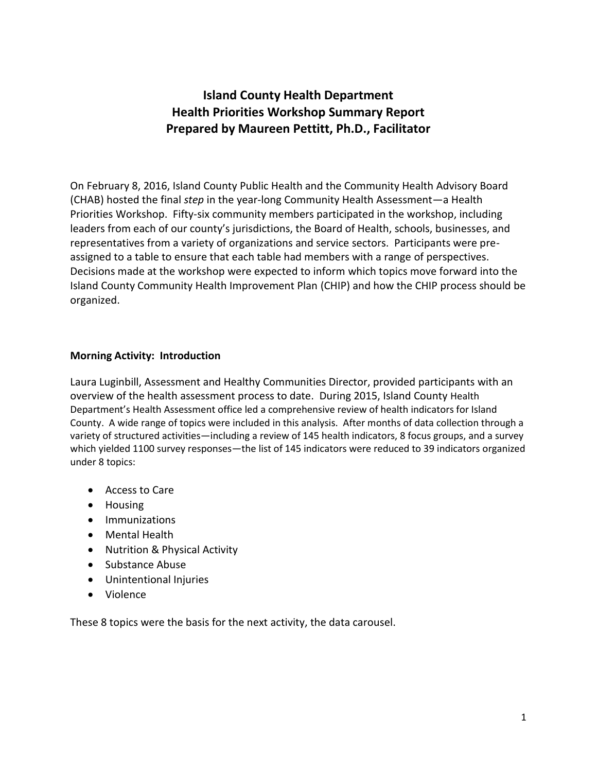# **Island County Health Department Health Priorities Workshop Summary Report Prepared by Maureen Pettitt, Ph.D., Facilitator**

On February 8, 2016, Island County Public Health and the Community Health Advisory Board (CHAB) hosted the final *step* in the year-long Community Health Assessment—a Health Priorities Workshop. Fifty-six community members participated in the workshop, including leaders from each of our county's jurisdictions, the Board of Health, schools, businesses, and representatives from a variety of organizations and service sectors. Participants were preassigned to a table to ensure that each table had members with a range of perspectives. Decisions made at the workshop were expected to inform which topics move forward into the Island County Community Health Improvement Plan (CHIP) and how the CHIP process should be organized.

### **Morning Activity: Introduction**

Laura Luginbill, Assessment and Healthy Communities Director, provided participants with an overview of the health assessment process to date. During 2015, Island County Health Department's Health Assessment office led a comprehensive review of health indicators for Island County. A wide range of topics were included in this analysis. After months of data collection through a variety of structured activities—including a review of 145 health indicators, 8 focus groups, and a survey which yielded 1100 survey responses—the list of 145 indicators were reduced to 39 indicators organized under 8 topics:

- Access to Care
- Housing
- **•** Immunizations
- Mental Health
- Nutrition & Physical Activity
- Substance Abuse
- Unintentional Injuries
- Violence

These 8 topics were the basis for the next activity, the data carousel.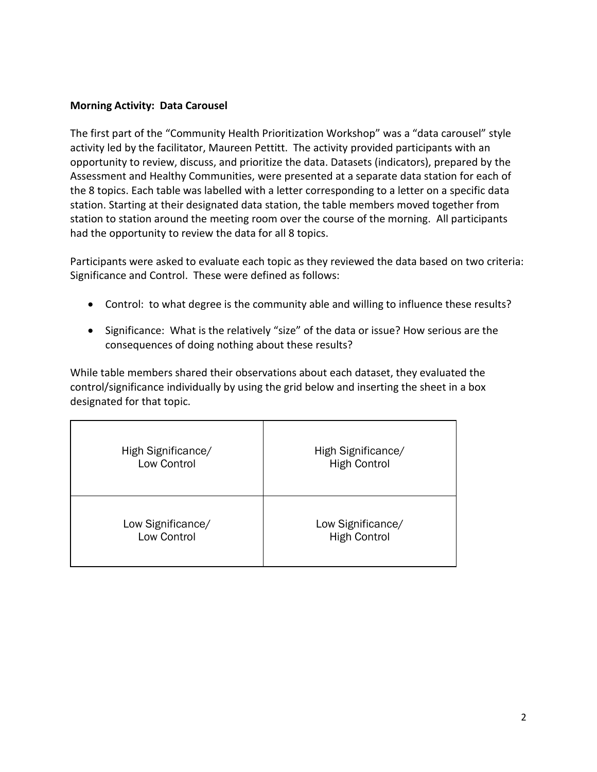### **Morning Activity: Data Carousel**

The first part of the "Community Health Prioritization Workshop" was a "data carousel" style activity led by the facilitator, Maureen Pettitt. The activity provided participants with an opportunity to review, discuss, and prioritize the data. Datasets (indicators), prepared by the Assessment and Healthy Communities, were presented at a separate data station for each of the 8 topics. Each table was labelled with a letter corresponding to a letter on a specific data station. Starting at their designated data station, the table members moved together from station to station around the meeting room over the course of the morning. All participants had the opportunity to review the data for all 8 topics.

Participants were asked to evaluate each topic as they reviewed the data based on two criteria: Significance and Control. These were defined as follows:

- Control: to what degree is the community able and willing to influence these results?
- Significance: What is the relatively "size" of the data or issue? How serious are the consequences of doing nothing about these results?

While table members shared their observations about each dataset, they evaluated the control/significance individually by using the grid below and inserting the sheet in a box designated for that topic.

| High Significance/ | High Significance/  |
|--------------------|---------------------|
| Low Control        | <b>High Control</b> |
| Low Significance/  | Low Significance/   |
| Low Control        | <b>High Control</b> |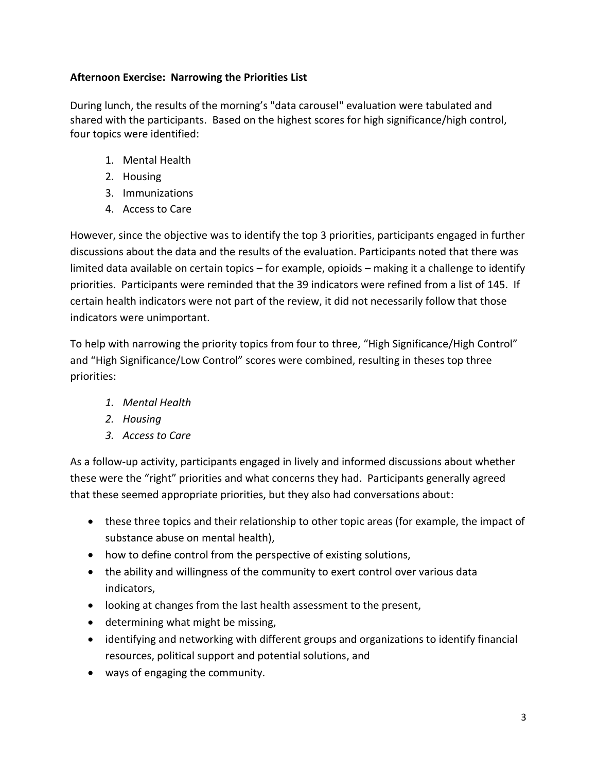## **Afternoon Exercise: Narrowing the Priorities List**

During lunch, the results of the morning's "data carousel" evaluation were tabulated and shared with the participants. Based on the highest scores for high significance/high control, four topics were identified:

- 1. Mental Health
- 2. Housing
- 3. Immunizations
- 4. Access to Care

However, since the objective was to identify the top 3 priorities, participants engaged in further discussions about the data and the results of the evaluation. Participants noted that there was limited data available on certain topics – for example, opioids – making it a challenge to identify priorities. Participants were reminded that the 39 indicators were refined from a list of 145. If certain health indicators were not part of the review, it did not necessarily follow that those indicators were unimportant.

To help with narrowing the priority topics from four to three, "High Significance/High Control" and "High Significance/Low Control" scores were combined, resulting in theses top three priorities:

- *1. Mental Health*
- *2. Housing*
- *3. Access to Care*

As a follow-up activity, participants engaged in lively and informed discussions about whether these were the "right" priorities and what concerns they had. Participants generally agreed that these seemed appropriate priorities, but they also had conversations about:

- these three topics and their relationship to other topic areas (for example, the impact of substance abuse on mental health),
- how to define control from the perspective of existing solutions,
- the ability and willingness of the community to exert control over various data indicators,
- looking at changes from the last health assessment to the present,
- determining what might be missing,
- identifying and networking with different groups and organizations to identify financial resources, political support and potential solutions, and
- ways of engaging the community.